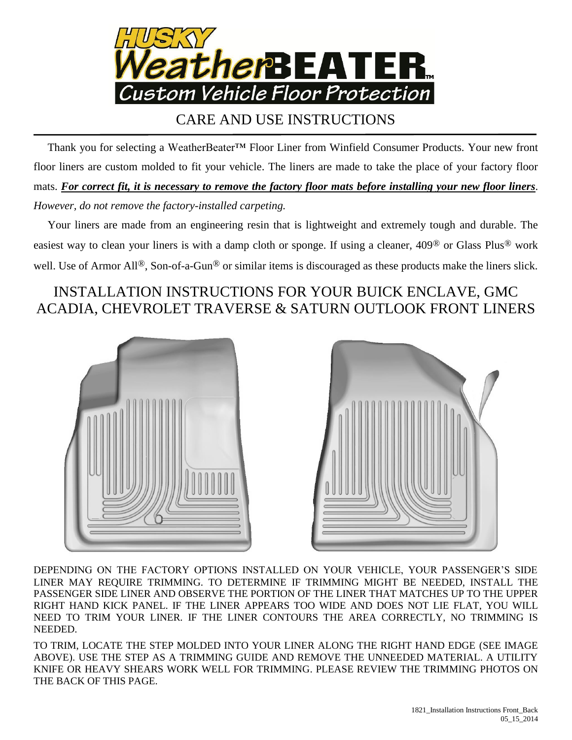

## CARE AND USE INSTRUCTIONS

 Thank you for selecting a WeatherBeater™ Floor Liner from Winfield Consumer Products. Your new front floor liners are custom molded to fit your vehicle. The liners are made to take the place of your factory floor mats. *For correct fit, it is necessary to remove the factory floor mats before installing your new floor liners*. *However, do not remove the factory-installed carpeting.*

 Your liners are made from an engineering resin that is lightweight and extremely tough and durable. The easiest way to clean your liners is with a damp cloth or sponge. If using a cleaner, 409® or Glass Plus® work well. Use of Armor All®, Son-of-a-Gun® or similar items is discouraged as these products make the liners slick.

## INSTALLATION INSTRUCTIONS FOR YOUR BUICK ENCLAVE, GMC ACADIA, CHEVROLET TRAVERSE & SATURN OUTLOOK FRONT LINERS





DEPENDING ON THE FACTORY OPTIONS INSTALLED ON YOUR VEHICLE, YOUR PASSENGER'S SIDE LINER MAY REQUIRE TRIMMING. TO DETERMINE IF TRIMMING MIGHT BE NEEDED, INSTALL THE PASSENGER SIDE LINER AND OBSERVE THE PORTION OF THE LINER THAT MATCHES UP TO THE UPPER RIGHT HAND KICK PANEL. IF THE LINER APPEARS TOO WIDE AND DOES NOT LIE FLAT, YOU WILL NEED TO TRIM YOUR LINER. IF THE LINER CONTOURS THE AREA CORRECTLY, NO TRIMMING IS NEEDED.

TO TRIM, LOCATE THE STEP MOLDED INTO YOUR LINER ALONG THE RIGHT HAND EDGE (SEE IMAGE ABOVE). USE THE STEP AS A TRIMMING GUIDE AND REMOVE THE UNNEEDED MATERIAL. A UTILITY KNIFE OR HEAVY SHEARS WORK WELL FOR TRIMMING. PLEASE REVIEW THE TRIMMING PHOTOS ON THE BACK OF THIS PAGE.